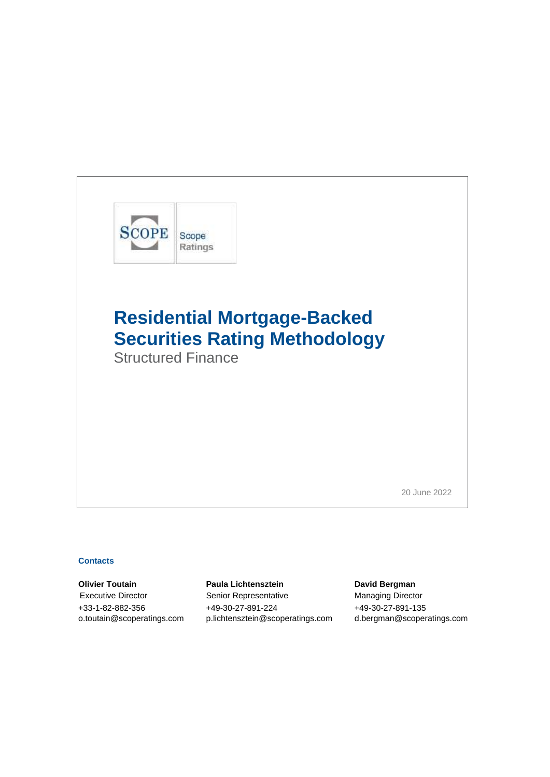

Structured Finance

20 June 2022

### **Contacts**

**Olivier Toutain Paula Lichtensztein David Bergman** Executive Director Senior Representative Managing Director +33-1-82-882-356 +49-30-27-891-224 +49-30-27-891-135 [o.toutain@scoperatings.com](mailto:o.toutain@scoperatings.com) [p.lichtensztein@scoperatings.com](mailto:p.lichtensztein@scoperatings.com) [d.bergman@scoperatings.com](mailto:d.bergman@scoperatings.com)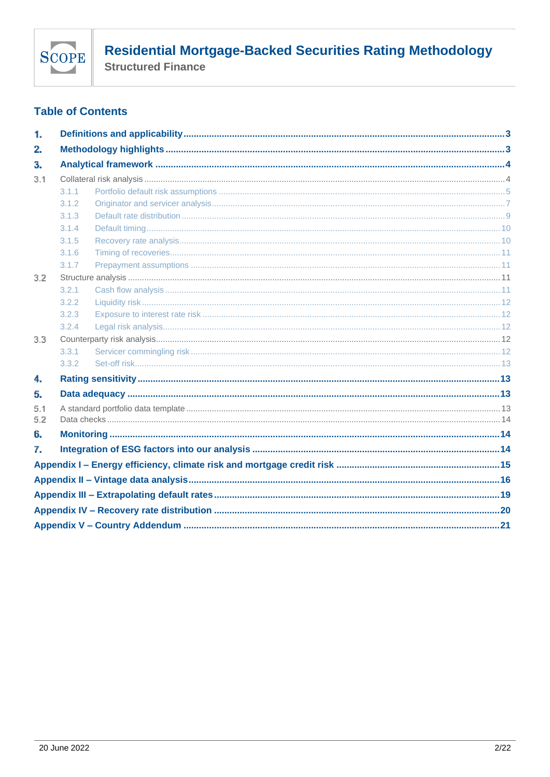

**Structured Finance** 

## **Table of Contents**

| 1.  |       |  |  |  |
|-----|-------|--|--|--|
| 2.  |       |  |  |  |
| з.  |       |  |  |  |
| 3.1 |       |  |  |  |
|     | 3.1.1 |  |  |  |
|     | 3.1.2 |  |  |  |
|     | 3.1.3 |  |  |  |
|     | 3.1.4 |  |  |  |
|     | 3.1.5 |  |  |  |
|     | 3.1.6 |  |  |  |
|     | 3.1.7 |  |  |  |
| 3.2 |       |  |  |  |
|     | 3.2.1 |  |  |  |
|     | 3.2.2 |  |  |  |
|     | 3.2.3 |  |  |  |
|     | 3.2.4 |  |  |  |
| 3.3 |       |  |  |  |
|     | 3.3.1 |  |  |  |
|     | 3.3.2 |  |  |  |
| 4.  |       |  |  |  |
| 5.  |       |  |  |  |
| 5.1 |       |  |  |  |
| 5.2 |       |  |  |  |
| 6.  |       |  |  |  |
| 7.  |       |  |  |  |
|     |       |  |  |  |
|     |       |  |  |  |
|     |       |  |  |  |
|     |       |  |  |  |
|     |       |  |  |  |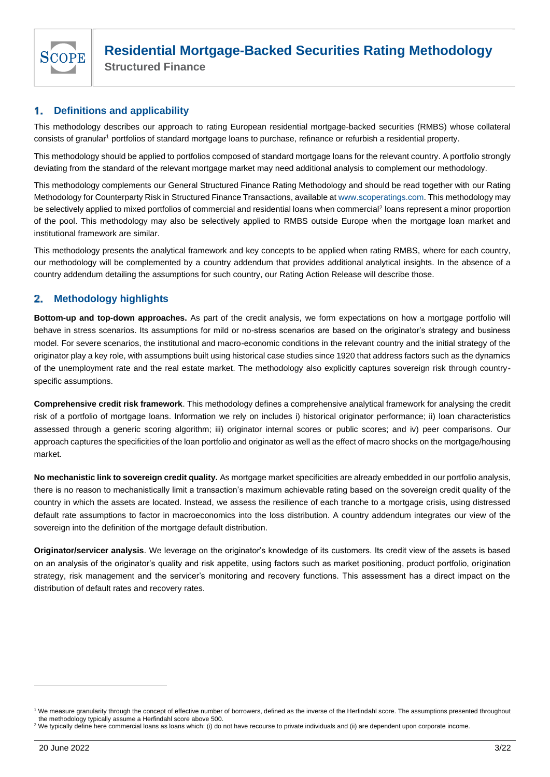

**Structured Finance**

#### <span id="page-2-0"></span>1. **Definitions and applicability**

This methodology describes our approach to rating European residential mortgage-backed securities (RMBS) whose collateral consists of granular<sup>1</sup> portfolios of standard mortgage loans to purchase, refinance or refurbish a residential property.

This methodology should be applied to portfolios composed of standard mortgage loans for the relevant country. A portfolio strongly deviating from the standard of the relevant mortgage market may need additional analysis to complement our methodology.

This methodology complements our General Structured Finance Rating Methodology and should be read together with our Rating Methodology for Counterparty Risk in Structured Finance Transactions, available a[t www.scoperatings.com.](https://scoperatings.com/) This methodology may be selectively applied to mixed portfolios of commercial and residential loans when commercial<sup>2</sup> loans represent a minor proportion of the pool. This methodology may also be selectively applied to RMBS outside Europe when the mortgage loan market and institutional framework are similar.

This methodology presents the analytical framework and key concepts to be applied when rating RMBS, where for each country, our methodology will be complemented by a country addendum that provides additional analytical insights. In the absence of a country addendum detailing the assumptions for such country, our Rating Action Release will describe those.

#### <span id="page-2-1"></span>**Methodology highlights**  $2.$

**Bottom-up and top-down approaches.** As part of the credit analysis, we form expectations on how a mortgage portfolio will behave in stress scenarios. Its assumptions for mild or no-stress scenarios are based on the originator's strategy and business model. For severe scenarios, the institutional and macro-economic conditions in the relevant country and the initial strategy of the originator play a key role, with assumptions built using historical case studies since 1920 that address factors such as the dynamics of the unemployment rate and the real estate market. The methodology also explicitly captures sovereign risk through countryspecific assumptions.

**Comprehensive credit risk framework**. This methodology defines a comprehensive analytical framework for analysing the credit risk of a portfolio of mortgage loans. Information we rely on includes i) historical originator performance; ii) loan characteristics assessed through a generic scoring algorithm; iii) originator internal scores or public scores; and iv) peer comparisons. Our approach captures the specificities of the loan portfolio and originator as well as the effect of macro shocks on the mortgage/housing market.

**No mechanistic link to sovereign credit quality.** As mortgage market specificities are already embedded in our portfolio analysis, there is no reason to mechanistically limit a transaction's maximum achievable rating based on the sovereign credit quality of the country in which the assets are located. Instead, we assess the resilience of each tranche to a mortgage crisis, using distressed default rate assumptions to factor in macroeconomics into the loss distribution. A country addendum integrates our view of the sovereign into the definition of the mortgage default distribution.

**Originator/servicer analysis**. We leverage on the originator's knowledge of its customers. Its credit view of the assets is based on an analysis of the originator's quality and risk appetite, using factors such as market positioning, product portfolio, origination strategy, risk management and the servicer's monitoring and recovery functions. This assessment has a direct impact on the distribution of default rates and recovery rates.

<sup>&</sup>lt;sup>1</sup> We measure granularity through the concept of effective number of borrowers, defined as the inverse of the Herfindahl score. The assumptions presented throughout the methodology typically assume a Herfindahl score above 500.

<sup>&</sup>lt;sup>2</sup> We typically define here commercial loans as loans which: (i) do not have recourse to private individuals and (ii) are dependent upon corporate income.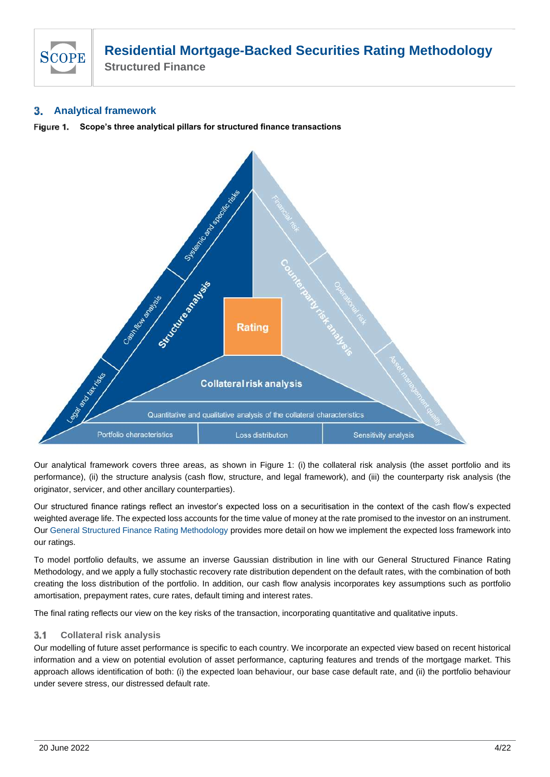

**Structured Finance**

#### <span id="page-3-0"></span>**Analytical framework** 3.

**Scope's three analytical pillars for structured finance transactions** Figure 1.



Our analytical framework covers three areas, as shown in Figure 1: (i) the collateral risk analysis (the asset portfolio and its performance), (ii) the structure analysis (cash flow, structure, and legal framework), and (iii) the counterparty risk analysis (the originator, servicer, and other ancillary counterparties).

Our structured finance ratings reflect an investor's expected loss on a securitisation in the context of the cash flow's expected weighted average life. The expected loss accounts for the time value of money at the rate promised to the investor on an instrument. Our [General Structured Finance Rating Methodology](https://www.scoperatings.com/ScopeRatingsApi/api/downloadmethodology?id=8f6dc4fe-71e6-4946-bc27-3e84585c0a38) provides more detail on how we implement the expected loss framework into our ratings.

To model portfolio defaults, we assume an inverse Gaussian distribution in line with our General Structured Finance Rating Methodology, and we apply a fully stochastic recovery rate distribution dependent on the default rates, with the combination of both creating the loss distribution of the portfolio. In addition, our cash flow analysis incorporates key assumptions such as portfolio amortisation, prepayment rates, cure rates, default timing and interest rates.

The final rating reflects our view on the key risks of the transaction, incorporating quantitative and qualitative inputs.

#### <span id="page-3-1"></span>**Collateral risk analysis**   $3.1$

Our modelling of future asset performance is specific to each country. We incorporate an expected view based on recent historical information and a view on potential evolution of asset performance, capturing features and trends of the mortgage market. This approach allows identification of both: (i) the expected loan behaviour, our base case default rate, and (ii) the portfolio behaviour under severe stress, our distressed default rate.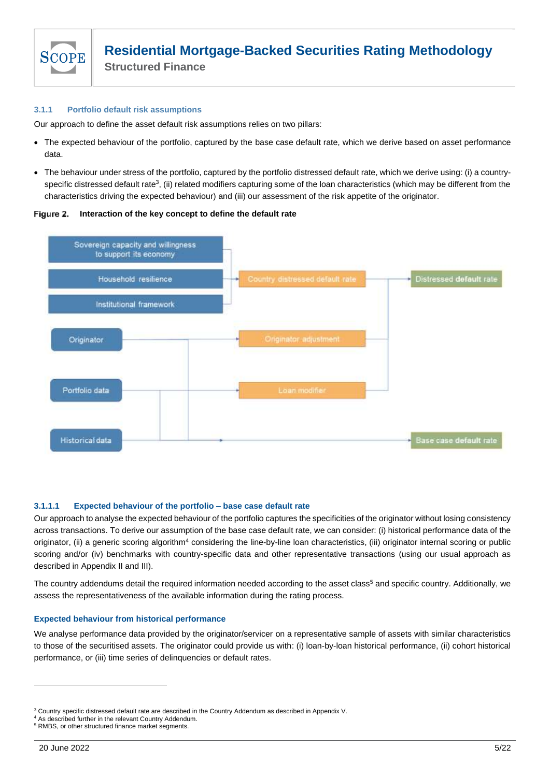

### <span id="page-4-0"></span>**3.1.1 Portfolio default risk assumptions**

Our approach to define the asset default risk assumptions relies on two pillars:

- The expected behaviour of the portfolio, captured by the base case default rate, which we derive based on asset performance data.
- The behaviour under stress of the portfolio, captured by the portfolio distressed default rate, which we derive using: (i) a countryspecific distressed default rate<sup>3</sup>, (ii) related modifiers capturing some of the loan characteristics (which may be different from the characteristics driving the expected behaviour) and (iii) our assessment of the risk appetite of the originator.





### **3.1.1.1 Expected behaviour of the portfolio – base case default rate**

Our approach to analyse the expected behaviour of the portfolio captures the specificities of the originator without losing consistency across transactions. To derive our assumption of the base case default rate, we can consider: (i) historical performance data of the originator, (ii) a generic scoring algorithm<sup>4</sup> considering the line-by-line loan characteristics, (iii) originator internal scoring or public scoring and/or (iv) benchmarks with country-specific data and other representative transactions (using our usual approach as described in Appendix II and III).

<span id="page-4-1"></span>The country addendums detail the required information needed according to the asset class<sup>5</sup> and specific country. Additionally, we assess the representativeness of the available information during the rating process.

### **Expected behaviour from historical performance**

We analyse performance data provided by the originator/servicer on a representative sample of assets with similar characteristics to those of the securitised assets. The originator could provide us with: (i) loan-by-loan historical performance, (ii) cohort historical performance, or (iii) time series of delinquencies or default rates.

<sup>3</sup> Country specific distressed default rate are described in the Country Addendum as described in Appendix V.

<sup>4</sup> As described further in the relevant Country Addendum.

<sup>5</sup> RMBS, or other structured finance market segments.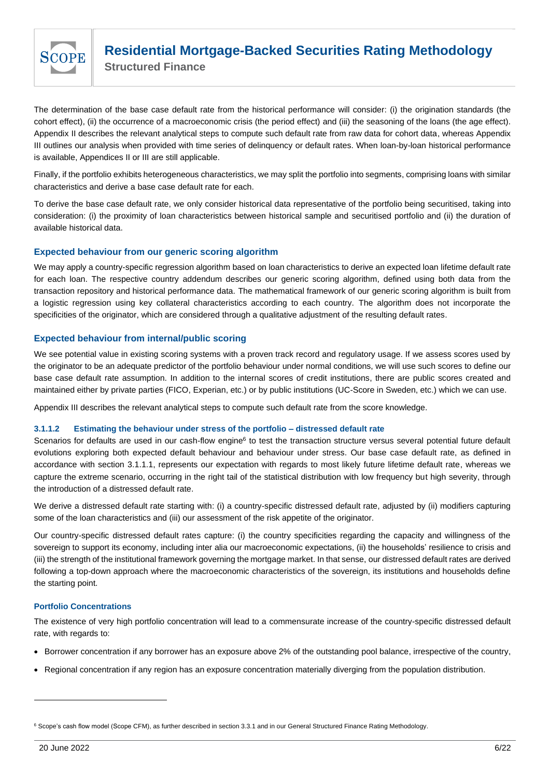

The determination of the base case default rate from the historical performance will consider: (i) the origination standards (the cohort effect), (ii) the occurrence of a macroeconomic crisis (the period effect) and (iii) the seasoning of the loans (the age effect). Appendix II describes the relevant analytical steps to compute such default rate from raw data for cohort data, whereas Appendix III outlines our analysis when provided with time series of delinquency or default rates. When loan-by-loan historical performance is available, Appendices II or III are still applicable.

Finally, if the portfolio exhibits heterogeneous characteristics, we may split the portfolio into segments, comprising loans with similar characteristics and derive a base case default rate for each.

To derive the base case default rate, we only consider historical data representative of the portfolio being securitised, taking into consideration: (i) the proximity of loan characteristics between historical sample and securitised portfolio and (ii) the duration of available historical data.

### **Expected behaviour from our generic scoring algorithm**

We may apply a country-specific regression algorithm based on loan characteristics to derive an expected loan lifetime default rate for each loan. The respective country addendum describes our generic scoring algorithm, defined using both data from the transaction repository and historical performance data. The mathematical framework of our generic scoring algorithm is built from a logistic regression using key collateral characteristics according to each country. The algorithm does not incorporate the specificities of the originator, which are considered through a qualitative adjustment of the resulting default rates.

### **Expected behaviour from internal/public scoring**

We see potential value in existing scoring systems with a proven track record and regulatory usage. If we assess scores used by the originator to be an adequate predictor of the portfolio behaviour under normal conditions, we will use such scores to define our base case default rate assumption. In addition to the internal scores of credit institutions, there are public scores created and maintained either by private parties (FICO, Experian, etc.) or by public institutions (UC-Score in Sweden, etc.) which we can use.

Appendix III describes the relevant analytical steps to compute such default rate from the score knowledge.

### **3.1.1.2 Estimating the behaviour under stress of the portfolio – distressed default rate**

Scenarios for defaults are used in our cash-flow engine<sup>6</sup> to test the transaction structure versus several potential future default evolutions exploring both expected default behaviour and behaviour under stress. Our base case default rate, as defined in accordance with section 3.1.1.1, represents our expectation with regards to most likely future lifetime default rate, whereas we capture the extreme scenario, occurring in the right tail of the statistical distribution with low frequency but high severity, through the introduction of a distressed default rate.

We derive a distressed default rate starting with: (i) a country-specific distressed default rate, adjusted by (ii) modifiers capturing some of the loan characteristics and (iii) our assessment of the risk appetite of the originator.

Our country-specific distressed default rates capture: (i) the country specificities regarding the capacity and willingness of the sovereign to support its economy, including inter alia our macroeconomic expectations, (ii) the households' resilience to crisis and (iii) the strength of the institutional framework governing the mortgage market. In that sense, our distressed default rates are derived following a top-down approach where the macroeconomic characteristics of the sovereign, its institutions and households define the starting point.

### **Portfolio Concentrations**

The existence of very high portfolio concentration will lead to a commensurate increase of the country-specific distressed default rate, with regards to:

- Borrower concentration if any borrower has an exposure above 2% of the outstanding pool balance, irrespective of the country,
- Regional concentration if any region has an exposure concentration materially diverging from the population distribution.

<sup>6</sup> Scope's cash flow model (Scope CFM), as further described in section 3.3.1 and in our General Structured Finance Rating Methodology.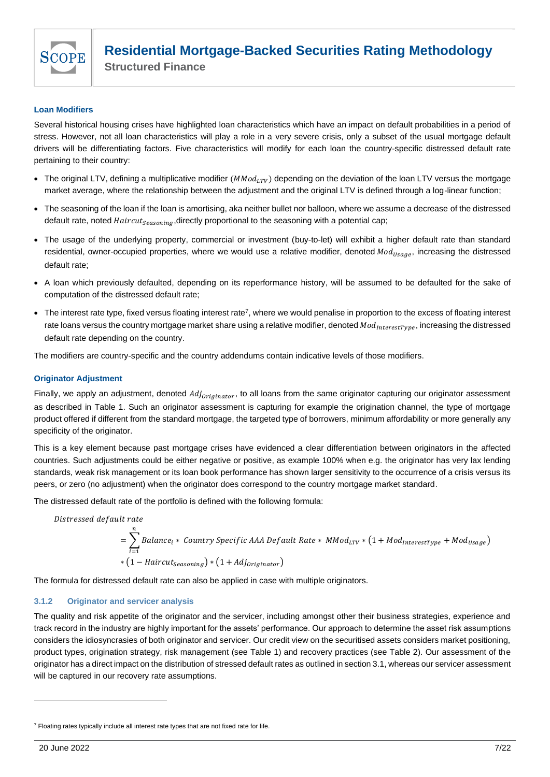

### **Loan Modifiers**

Several historical housing crises have highlighted loan characteristics which have an impact on default probabilities in a period of stress. However, not all loan characteristics will play a role in a very severe crisis, only a subset of the usual mortgage default drivers will be differentiating factors. Five characteristics will modify for each loan the country-specific distressed default rate pertaining to their country:

- The original LTV, defining a multiplicative modifier  $(MMod_{LTV})$  depending on the deviation of the loan LTV versus the mortgage market average, where the relationship between the adjustment and the original LTV is defined through a log-linear function;
- The seasoning of the loan if the loan is amortising, aka neither bullet nor balloon, where we assume a decrease of the distressed default rate, noted  $Haircut_{Seasonina}$ , directly proportional to the seasoning with a potential cap;
- The usage of the underlying property, commercial or investment (buy-to-let) will exhibit a higher default rate than standard residential, owner-occupied properties, where we would use a relative modifier, denoted  $Mod_{Usage}$ , increasing the distressed default rate;
- A loan which previously defaulted, depending on its reperformance history, will be assumed to be defaulted for the sake of computation of the distressed default rate;
- The interest rate type, fixed versus floating interest rate<sup>7</sup>, where we would penalise in proportion to the excess of floating interest rate loans versus the country mortgage market share using a relative modifier, denoted  $Mod_{interestType}$ , increasing the distressed default rate depending on the country.

The modifiers are country-specific and the country addendums contain indicative levels of those modifiers.

### **Originator Adjustment**

Finally, we apply an adjustment, denoted  $Adj_{originator}$ , to all loans from the same originator capturing our originator assessment as described in Table 1. Such an originator assessment is capturing for example the origination channel, the type of mortgage product offered if different from the standard mortgage, the targeted type of borrowers, minimum affordability or more generally any specificity of the originator.

This is a key element because past mortgage crises have evidenced a clear differentiation between originators in the affected countries. Such adjustments could be either negative or positive, as example 100% when e.g. the originator has very lax lending standards, weak risk management or its loan book performance has shown larger sensitivity to the occurrence of a crisis versus its peers, or zero (no adjustment) when the originator does correspond to the country mortgage market standard.

The distressed default rate of the portfolio is defined with the following formula:

$$
= \sum_{i=1}^{n} Balance_i * Country Specific AAA Default Rate * MMod_{LTV} * (1 + Mod_{InterestType} + Mod_{Usage})
$$
  
 \* (1 - Haircut<sub>Seasoning</sub>) \* (1 + Adj<sub>originator</sub>)

The formula for distressed default rate can also be applied in case with multiple originators.

### <span id="page-6-0"></span>**3.1.2 Originator and servicer analysis**

The quality and risk appetite of the originator and the servicer, including amongst other their business strategies, experience and track record in the industry are highly important for the assets' performance. Our approach to determine the asset risk assumptions considers the idiosyncrasies of both originator and servicer. Our credit view on the securitised assets considers market positioning, product types, origination strategy, risk management (see Table 1) and recovery practices (see Table 2). Our assessment of the originator has a direct impact on the distribution of stressed default rates as outlined in section 3.1, whereas our servicer assessment will be captured in our recovery rate assumptions.

 $7$  Floating rates typically include all interest rate types that are not fixed rate for life.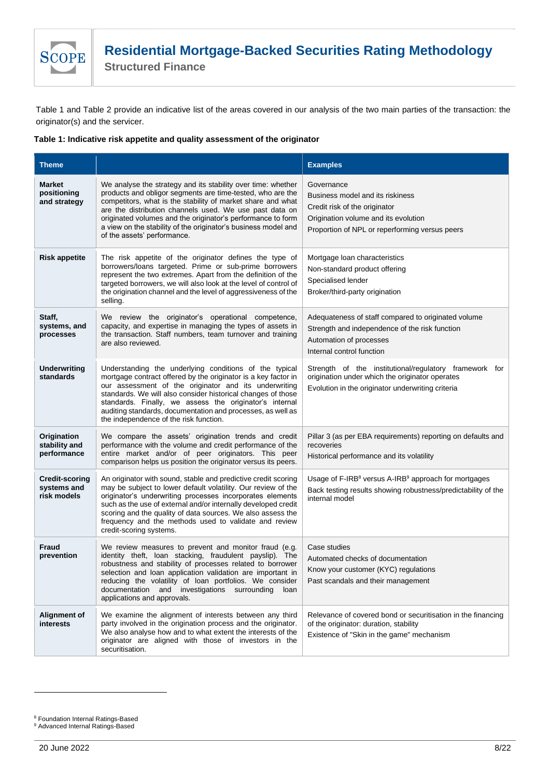

**Structured Finance**

Table 1 and Table 2 provide an indicative list of the areas covered in our analysis of the two main parties of the transaction: the originator(s) and the servicer.

### **Table 1: Indicative risk appetite and quality assessment of the originator**

| <b>Theme</b>                                        |                                                                                                                                                                                                                                                                                                                                                                                                                       | <b>Examples</b>                                                                                                                                                           |
|-----------------------------------------------------|-----------------------------------------------------------------------------------------------------------------------------------------------------------------------------------------------------------------------------------------------------------------------------------------------------------------------------------------------------------------------------------------------------------------------|---------------------------------------------------------------------------------------------------------------------------------------------------------------------------|
| <b>Market</b><br>positioning<br>and strategy        | We analyse the strategy and its stability over time: whether<br>products and obligor segments are time-tested, who are the<br>competitors, what is the stability of market share and what<br>are the distribution channels used. We use past data on<br>originated volumes and the originator's performance to form<br>a view on the stability of the originator's business model and<br>of the assets' performance.  | Governance<br>Business model and its riskiness<br>Credit risk of the originator<br>Origination volume and its evolution<br>Proportion of NPL or reperforming versus peers |
| <b>Risk appetite</b>                                | The risk appetite of the originator defines the type of<br>borrowers/loans targeted. Prime or sub-prime borrowers<br>represent the two extremes. Apart from the definition of the<br>targeted borrowers, we will also look at the level of control of<br>the origination channel and the level of aggressiveness of the<br>selling.                                                                                   | Mortgage loan characteristics<br>Non-standard product offering<br>Specialised lender<br>Broker/third-party origination                                                    |
| Staff,<br>systems, and<br>processes                 | We review the originator's operational competence,<br>capacity, and expertise in managing the types of assets in<br>the transaction. Staff numbers, team turnover and training<br>are also reviewed.                                                                                                                                                                                                                  | Adequateness of staff compared to originated volume<br>Strength and independence of the risk function<br>Automation of processes<br>Internal control function             |
| <b>Underwriting</b><br>standards                    | Understanding the underlying conditions of the typical<br>mortgage contract offered by the originator is a key factor in<br>our assessment of the originator and its underwriting<br>standards. We will also consider historical changes of those<br>standards. Finally, we assess the originator's internal<br>auditing standards, documentation and processes, as well as<br>the independence of the risk function. | Strength of the institutional/regulatory framework for<br>origination under which the originator operates<br>Evolution in the originator underwriting criteria            |
| Origination<br>stability and<br>performance         | We compare the assets' origination trends and credit<br>performance with the volume and credit performance of the<br>entire market and/or of peer originators. This peer<br>comparison helps us position the originator versus its peers.                                                                                                                                                                             | Pillar 3 (as per EBA requirements) reporting on defaults and<br>recoveries<br>Historical performance and its volatility                                                   |
| <b>Credit-scoring</b><br>systems and<br>risk models | An originator with sound, stable and predictive credit scoring<br>may be subject to lower default volatility. Our review of the<br>originator's underwriting processes incorporates elements<br>such as the use of external and/or internally developed credit<br>scoring and the quality of data sources. We also assess the<br>frequency and the methods used to validate and review<br>credit-scoring systems.     | Usage of F-IRB <sup>8</sup> versus A-IRB <sup>9</sup> approach for mortgages<br>Back testing results showing robustness/predictability of the<br>internal model           |
| <b>Fraud</b><br>prevention                          | We review measures to prevent and monitor fraud (e.g.<br>identity theft, loan stacking, fraudulent payslip). The<br>robustness and stability of processes related to borrower<br>selection and loan application validation are important in<br>reducing the volatility of loan portfolios. We consider<br>documentation and investigations surrounding<br>loan<br>applications and approvals.                         | Case studies<br>Automated checks of documentation<br>Know your customer (KYC) regulations<br>Past scandals and their management                                           |
| Alignment of<br><b>interests</b>                    | We examine the alignment of interests between any third<br>party involved in the origination process and the originator.<br>We also analyse how and to what extent the interests of the<br>originator are aligned with those of investors in the<br>securitisation.                                                                                                                                                   | Relevance of covered bond or securitisation in the financing<br>of the originator: duration, stability<br>Existence of "Skin in the game" mechanism                       |

<sup>&</sup>lt;sup>8</sup> Foundation Internal Ratings-Based

<sup>&</sup>lt;sup>9</sup> Advanced Internal Ratings-Based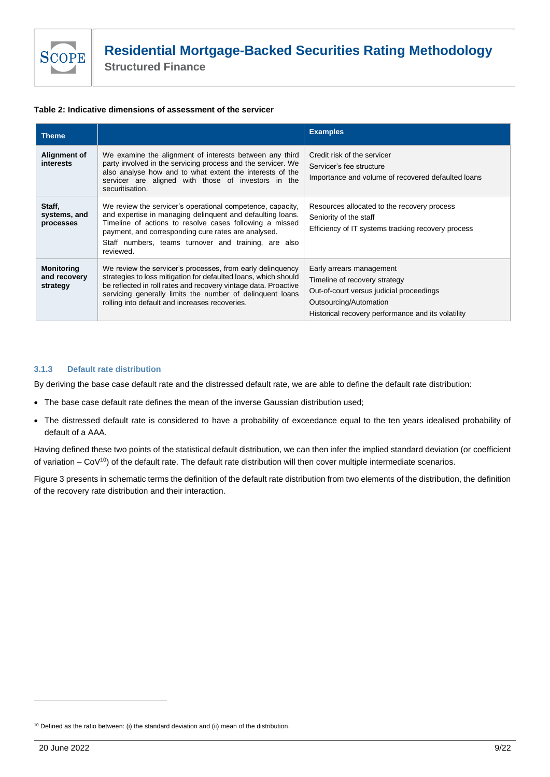**Structured Finance**

### **Table 2: Indicative dimensions of assessment of the servicer**

| <b>Theme</b>                                  |                                                                                                                                                                                                                                                                                                                 | <b>Examples</b>                                                                                                                                                                       |
|-----------------------------------------------|-----------------------------------------------------------------------------------------------------------------------------------------------------------------------------------------------------------------------------------------------------------------------------------------------------------------|---------------------------------------------------------------------------------------------------------------------------------------------------------------------------------------|
| Alignment of<br><i>interests</i>              | We examine the alignment of interests between any third<br>party involved in the servicing process and the servicer. We<br>also analyse how and to what extent the interests of the<br>servicer are aligned with those of investors in the<br>securitisation.                                                   | Credit risk of the servicer<br>Servicer's fee structure<br>Importance and volume of recovered defaulted loans                                                                         |
| Staff,<br>systems, and<br>processes           | We review the servicer's operational competence, capacity,<br>and expertise in managing delinquent and defaulting loans.<br>Timeline of actions to resolve cases following a missed<br>payment, and corresponding cure rates are analysed.<br>Staff numbers, teams turnover and training, are also<br>reviewed. | Resources allocated to the recovery process<br>Seniority of the staff<br>Efficiency of IT systems tracking recovery process                                                           |
| <b>Monitoring</b><br>and recovery<br>strategy | We review the servicer's processes, from early delinguency<br>strategies to loss mitigation for defaulted loans, which should<br>be reflected in roll rates and recovery vintage data. Proactive<br>servicing generally limits the number of delinguent loans<br>rolling into default and increases recoveries. | Early arrears management<br>Timeline of recovery strategy<br>Out-of-court versus judicial proceedings<br>Outsourcing/Automation<br>Historical recovery performance and its volatility |

### <span id="page-8-0"></span>**3.1.3 Default rate distribution**

By deriving the base case default rate and the distressed default rate, we are able to define the default rate distribution:

- The base case default rate defines the mean of the inverse Gaussian distribution used;
- The distressed default rate is considered to have a probability of exceedance equal to the ten years idealised probability of default of a AAA.

Having defined these two points of the statistical default distribution, we can then infer the implied standard deviation (or coefficient of variation  $-$  CoV<sup>10</sup>) of the default rate. The default rate distribution will then cover multiple intermediate scenarios.

Figure 3 presents in schematic terms the definition of the default rate distribution from two elements of the distribution, the definition of the recovery rate distribution and their interaction.

 $10$  Defined as the ratio between: (i) the standard deviation and (ii) mean of the distribution.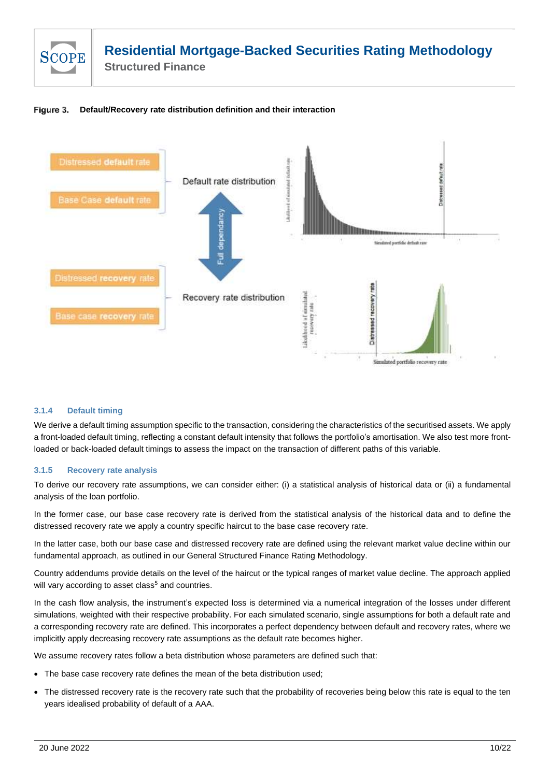

Figure 3. **Default/Recovery rate distribution definition and their interaction**



### <span id="page-9-0"></span>**3.1.4 Default timing**

We derive a default timing assumption specific to the transaction, considering the characteristics of the securitised assets. We apply a front-loaded default timing, reflecting a constant default intensity that follows the portfolio's amortisation. We also test more frontloaded or back-loaded default timings to assess the impact on the transaction of different paths of this variable.

### <span id="page-9-1"></span>**3.1.5 Recovery rate analysis**

To derive our recovery rate assumptions, we can consider either: (i) a statistical analysis of historical data or (ii) a fundamental analysis of the loan portfolio.

In the former case, our base case recovery rate is derived from the statistical analysis of the historical data and to define the distressed recovery rate we apply a country specific haircut to the base case recovery rate.

In the latter case, both our base case and distressed recovery rate are defined using the relevant market value decline within our fundamental approach, as outlined in our General Structured Finance Rating Methodology.

Country addendums provide details on the level of the haircut or the typical ranges of market value decline. The approach applied will vary according to a[s](#page-4-1)set class<sup>5</sup> and countries.

In the cash flow analysis, the instrument's expected loss is determined via a numerical integration of the losses under different simulations, weighted with their respective probability. For each simulated scenario, single assumptions for both a default rate and a corresponding recovery rate are defined. This incorporates a perfect dependency between default and recovery rates, where we implicitly apply decreasing recovery rate assumptions as the default rate becomes higher.

We assume recovery rates follow a beta distribution whose parameters are defined such that:

- The base case recovery rate defines the mean of the beta distribution used;
- The distressed recovery rate is the recovery rate such that the probability of recoveries being below this rate is equal to the ten years idealised probability of default of a AAA.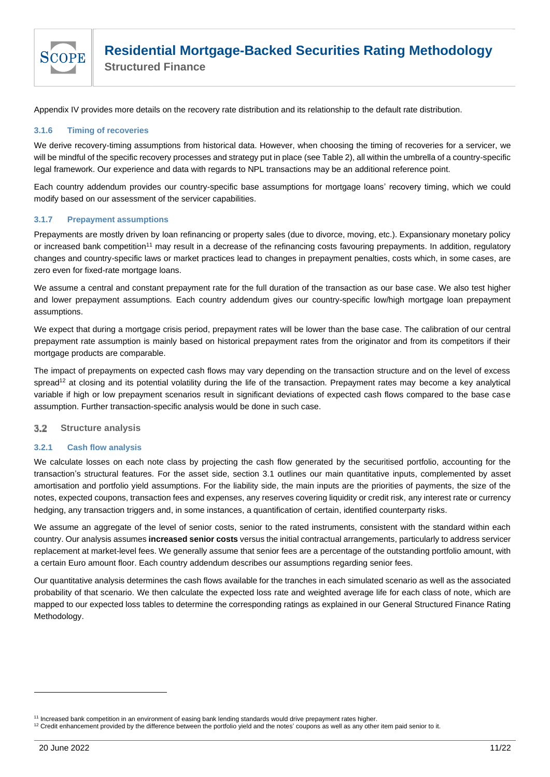

Appendix IV provides more details on the recovery rate distribution and its relationship to the default rate distribution.

### <span id="page-10-0"></span>**3.1.6 Timing of recoveries**

We derive recovery-timing assumptions from historical data. However, when choosing the timing of recoveries for a servicer, we will be mindful of the specific recovery processes and strategy put in place (see Table 2), all within the umbrella of a country-specific legal framework. Our experience and data with regards to NPL transactions may be an additional reference point.

Each country addendum provides our country-specific base assumptions for mortgage loans' recovery timing, which we could modify based on our assessment of the servicer capabilities.

### <span id="page-10-1"></span>**3.1.7 Prepayment assumptions**

Prepayments are mostly driven by loan refinancing or property sales (due to divorce, moving, etc.). Expansionary monetary policy or increased bank competition<sup>11</sup> may result in a decrease of the refinancing costs favouring prepayments. In addition, regulatory changes and country-specific laws or market practices lead to changes in prepayment penalties, costs which, in some cases, are zero even for fixed-rate mortgage loans.

We assume a central and constant prepayment rate for the full duration of the transaction as our base case. We also test higher and lower prepayment assumptions. Each country addendum gives our country-specific low/high mortgage loan prepayment assumptions.

We expect that during a mortgage crisis period, prepayment rates will be lower than the base case. The calibration of our central prepayment rate assumption is mainly based on historical prepayment rates from the originator and from its competitors if their mortgage products are comparable.

The impact of prepayments on expected cash flows may vary depending on the transaction structure and on the level of excess spread<sup>12</sup> at closing and its potential volatility during the life of the transaction. Prepayment rates may become a key analytical variable if high or low prepayment scenarios result in significant deviations of expected cash flows compared to the base case assumption. Further transaction-specific analysis would be done in such case.

#### <span id="page-10-2"></span>**Structure analysis**   $3.2$

### <span id="page-10-3"></span>**3.2.1 Cash flow analysis**

We calculate losses on each note class by projecting the cash flow generated by the securitised portfolio, accounting for the transaction's structural features. For the asset side, section 3.1 outlines our main quantitative inputs, complemented by asset amortisation and portfolio yield assumptions. For the liability side, the main inputs are the priorities of payments, the size of the notes, expected coupons, transaction fees and expenses, any reserves covering liquidity or credit risk, any interest rate or currency hedging, any transaction triggers and, in some instances, a quantification of certain, identified counterparty risks.

We assume an aggregate of the level of senior costs, senior to the rated instruments, consistent with the standard within each country. Our analysis assumes **increased senior costs** versus the initial contractual arrangements, particularly to address servicer replacement at market-level fees. We generally assume that senior fees are a percentage of the outstanding portfolio amount, with a certain Euro amount floor. Each country addendum describes our assumptions regarding senior fees.

Our quantitative analysis determines the cash flows available for the tranches in each simulated scenario as well as the associated probability of that scenario. We then calculate the expected loss rate and weighted average life for each class of note, which are mapped to our expected loss tables to determine the corresponding ratings as explained in our General Structured Finance Rating Methodology.

<sup>&</sup>lt;sup>11</sup> Increased bank competition in an environment of easing bank lending standards would drive prepayment rates higher.

<sup>&</sup>lt;sup>12</sup> Credit enhancement provided by the difference between the portfolio yield and the notes' coupons as well as any other item paid senior to it.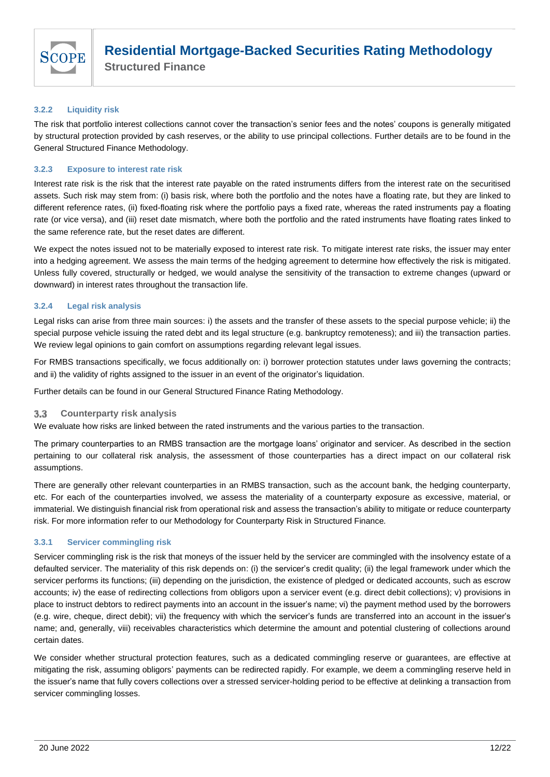

**Structured Finance**

### <span id="page-11-0"></span>**3.2.2 Liquidity risk**

The risk that portfolio interest collections cannot cover the transaction's senior fees and the notes' coupons is generally mitigated by structural protection provided by cash reserves, or the ability to use principal collections. Further details are to be found in the General Structured Finance Methodology.

### <span id="page-11-1"></span>**3.2.3 Exposure to interest rate risk**

Interest rate risk is the risk that the interest rate payable on the rated instruments differs from the interest rate on the securitised assets. Such risk may stem from: (i) basis risk, where both the portfolio and the notes have a floating rate, but they are linked to different reference rates, (ii) fixed-floating risk where the portfolio pays a fixed rate, whereas the rated instruments pay a floating rate (or vice versa), and (iii) reset date mismatch, where both the portfolio and the rated instruments have floating rates linked to the same reference rate, but the reset dates are different.

We expect the notes issued not to be materially exposed to interest rate risk. To mitigate interest rate risks, the issuer may enter into a hedging agreement. We assess the main terms of the hedging agreement to determine how effectively the risk is mitigated. Unless fully covered, structurally or hedged, we would analyse the sensitivity of the transaction to extreme changes (upward or downward) in interest rates throughout the transaction life.

### <span id="page-11-2"></span>**3.2.4 Legal risk analysis**

Legal risks can arise from three main sources: i) the assets and the transfer of these assets to the special purpose vehicle; ii) the special purpose vehicle issuing the rated debt and its legal structure (e.g. bankruptcy remoteness); and iii) the transaction parties. We review legal opinions to gain comfort on assumptions regarding relevant legal issues.

For RMBS transactions specifically, we focus additionally on: i) borrower protection statutes under laws governing the contracts; and ii) the validity of rights assigned to the issuer in an event of the originator's liquidation.

Further details can be found in our General Structured Finance Rating Methodology.

#### <span id="page-11-3"></span> $3.3$ **Counterparty risk analysis**

We evaluate how risks are linked between the rated instruments and the various parties to the transaction.

The primary counterparties to an RMBS transaction are the mortgage loans' originator and servicer. As described in the section pertaining to our collateral risk analysis, the assessment of those counterparties has a direct impact on our collateral risk assumptions.

There are generally other relevant counterparties in an RMBS transaction, such as the account bank, the hedging counterparty, etc. For each of the counterparties involved, we assess the materiality of a counterparty exposure as excessive, material, or immaterial. We distinguish financial risk from operational risk and assess the transaction's ability to mitigate or reduce counterparty risk. For more information refer to our Methodology for Counterparty Risk in Structured Finance*.* 

### <span id="page-11-4"></span>**3.3.1 Servicer commingling risk**

Servicer commingling risk is the risk that moneys of the issuer held by the servicer are commingled with the insolvency estate of a defaulted servicer. The materiality of this risk depends on: (i) the servicer's credit quality; (ii) the legal framework under which the servicer performs its functions; (iii) depending on the jurisdiction, the existence of pledged or dedicated accounts, such as escrow accounts; iv) the ease of redirecting collections from obligors upon a servicer event (e.g. direct debit collections); v) provisions in place to instruct debtors to redirect payments into an account in the issuer's name; vi) the payment method used by the borrowers (e.g. wire, cheque, direct debit); vii) the frequency with which the servicer's funds are transferred into an account in the issuer's name; and, generally, viii) receivables characteristics which determine the amount and potential clustering of collections around certain dates.

We consider whether structural protection features, such as a dedicated commingling reserve or guarantees, are effective at mitigating the risk, assuming obligors' payments can be redirected rapidly. For example, we deem a commingling reserve held in the issuer's name that fully covers collections over a stressed servicer-holding period to be effective at delinking a transaction from servicer commingling losses.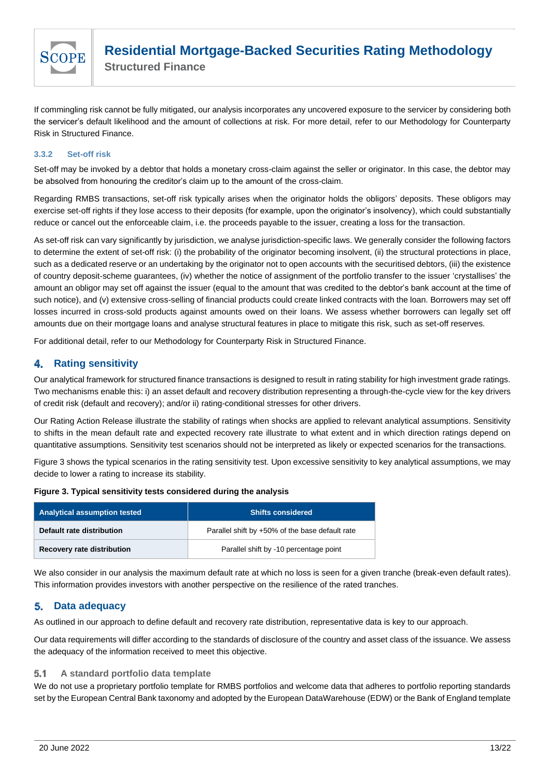

If commingling risk cannot be fully mitigated, our analysis incorporates any uncovered exposure to the servicer by considering both the servicer's default likelihood and the amount of collections at risk. For more detail, refer to our Methodology for Counterparty Risk in Structured Finance.

### <span id="page-12-0"></span>**3.3.2 Set-off risk**

Set-off may be invoked by a debtor that holds a monetary cross-claim against the seller or originator. In this case, the debtor may be absolved from honouring the creditor's claim up to the amount of the cross-claim.

Regarding RMBS transactions, set-off risk typically arises when the originator holds the obligors' deposits. These obligors may exercise set-off rights if they lose access to their deposits (for example, upon the originator's insolvency), which could substantially reduce or cancel out the enforceable claim, i.e. the proceeds payable to the issuer, creating a loss for the transaction.

As set-off risk can vary significantly by jurisdiction, we analyse jurisdiction-specific laws. We generally consider the following factors to determine the extent of set-off risk: (i) the probability of the originator becoming insolvent, (ii) the structural protections in place, such as a dedicated reserve or an undertaking by the originator not to open accounts with the securitised debtors, (iii) the existence of country deposit-scheme guarantees, (iv) whether the notice of assignment of the portfolio transfer to the issuer 'crystallises' the amount an obligor may set off against the issuer (equal to the amount that was credited to the debtor's bank account at the time of such notice), and (v) extensive cross-selling of financial products could create linked contracts with the loan. Borrowers may set off losses incurred in cross-sold products against amounts owed on their loans. We assess whether borrowers can legally set off amounts due on their mortgage loans and analyse structural features in place to mitigate this risk, such as set-off reserves.

For additional detail, refer to our Methodology for Counterparty Risk in Structured Finance.

#### <span id="page-12-1"></span>**Rating sensitivity** 4.

Our analytical framework for structured finance transactions is designed to result in rating stability for high investment grade ratings. Two mechanisms enable this: i) an asset default and recovery distribution representing a through-the-cycle view for the key drivers of credit risk (default and recovery); and/or ii) rating-conditional stresses for other drivers.

Our Rating Action Release illustrate the stability of ratings when shocks are applied to relevant analytical assumptions. Sensitivity to shifts in the mean default rate and expected recovery rate illustrate to what extent and in which direction ratings depend on quantitative assumptions. Sensitivity test scenarios should not be interpreted as likely or expected scenarios for the transactions.

Figure 3 shows the typical scenarios in the rating sensitivity test. Upon excessive sensitivity to key analytical assumptions, we may decide to lower a rating to increase its stability.

**Figure 3. Typical sensitivity tests considered during the analysis**

| <b>Analytical assumption tested</b> | <b>Shifts considered</b>                        |  |
|-------------------------------------|-------------------------------------------------|--|
| Default rate distribution           | Parallel shift by +50% of the base default rate |  |
| <b>Recovery rate distribution</b>   | Parallel shift by -10 percentage point          |  |

We also consider in our analysis the maximum default rate at which no loss is seen for a given tranche (break-even default rates). This information provides investors with another perspective on the resilience of the rated tranches.

#### <span id="page-12-2"></span>**Data adequacy** 5.

As outlined in our approach to define default and recovery rate distribution, representative data is key to our approach.

Our data requirements will differ according to the standards of disclosure of the country and asset class of the issuance. We assess the adequacy of the information received to meet this objective.

#### <span id="page-12-3"></span>**A standard portfolio data template**  $5.1$

We do not use a proprietary portfolio template for RMBS portfolios and welcome data that adheres to portfolio reporting standards set by the European Central Bank taxonomy and adopted by the European DataWarehouse (EDW) or the Bank of England template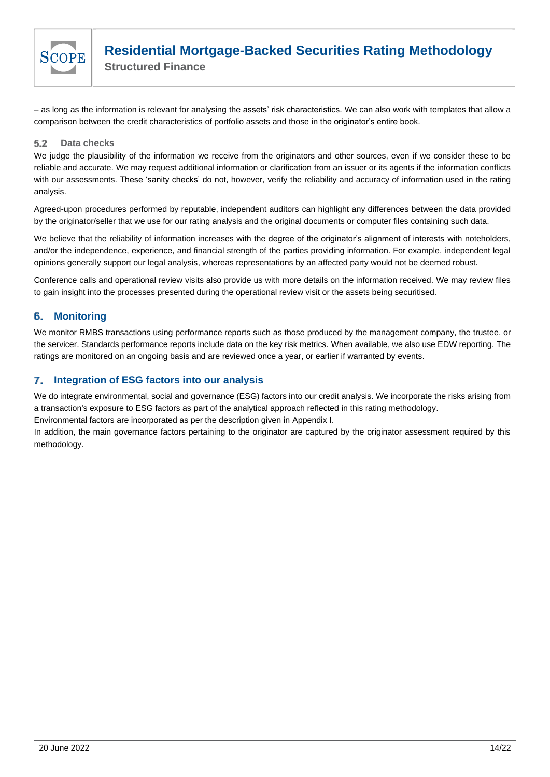

– as long as the information is relevant for analysing the assets' risk characteristics. We can also work with templates that allow a comparison between the credit characteristics of portfolio assets and those in the originator's entire book.

#### <span id="page-13-0"></span> $5.2$ **Data checks**

We judge the plausibility of the information we receive from the originators and other sources, even if we consider these to be reliable and accurate. We may request additional information or clarification from an issuer or its agents if the information conflicts with our assessments. These 'sanity checks' do not, however, verify the reliability and accuracy of information used in the rating analysis.

Agreed-upon procedures performed by reputable, independent auditors can highlight any differences between the data provided by the originator/seller that we use for our rating analysis and the original documents or computer files containing such data.

We believe that the reliability of information increases with the degree of the originator's alignment of interests with noteholders. and/or the independence, experience, and financial strength of the parties providing information. For example, independent legal opinions generally support our legal analysis, whereas representations by an affected party would not be deemed robust.

Conference calls and operational review visits also provide us with more details on the information received. We may review files to gain insight into the processes presented during the operational review visit or the assets being securitised.

#### <span id="page-13-1"></span>6. **Monitoring**

We monitor RMBS transactions using performance reports such as those produced by the management company, the trustee, or the servicer. Standards performance reports include data on the key risk metrics. When available, we also use EDW reporting. The ratings are monitored on an ongoing basis and are reviewed once a year, or earlier if warranted by events.

#### <span id="page-13-2"></span>7. **Integration of ESG factors into our analysis**

We do integrate environmental, social and governance (ESG) factors into our credit analysis. We incorporate the risks arising from a transaction's exposure to ESG factors as part of the analytical approach reflected in this rating methodology.

Environmental factors are incorporated as per the description given in Appendix I.

In addition, the main governance factors pertaining to the originator are captured by the originator assessment required by this methodology.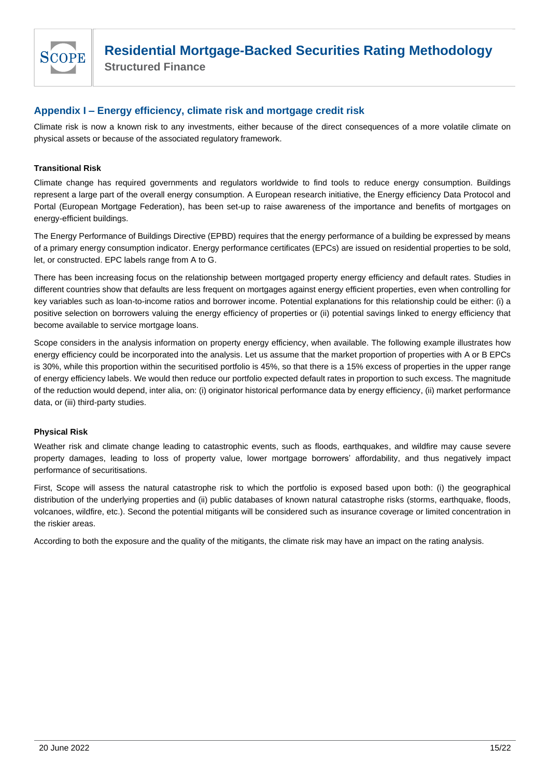

**Structured Finance**

### <span id="page-14-0"></span>**Appendix I – Energy efficiency, climate risk and mortgage credit risk**

Climate risk is now a known risk to any investments, either because of the direct consequences of a more volatile climate on physical assets or because of the associated regulatory framework.

### **Transitional Risk**

Climate change has required governments and regulators worldwide to find tools to reduce energy consumption. Buildings represent a large part of the overall energy consumption. A European research initiative, the Energy efficiency Data Protocol and Portal (European Mortgage Federation), has been set-up to raise awareness of the importance and benefits of mortgages on energy-efficient buildings.

The Energy Performance of Buildings Directive (EPBD) requires that the energy performance of a building be expressed by means of a primary energy consumption indicator. Energy performance certificates (EPCs) are issued on residential properties to be sold, let, or constructed. EPC labels range from A to G.

There has been increasing focus on the relationship between mortgaged property energy efficiency and default rates. Studies in different countries show that defaults are less frequent on mortgages against energy efficient properties, even when controlling for key variables such as loan-to-income ratios and borrower income. Potential explanations for this relationship could be either: (i) a positive selection on borrowers valuing the energy efficiency of properties or (ii) potential savings linked to energy efficiency that become available to service mortgage loans.

Scope considers in the analysis information on property energy efficiency, when available. The following example illustrates how energy efficiency could be incorporated into the analysis. Let us assume that the market proportion of properties with A or B EPCs is 30%, while this proportion within the securitised portfolio is 45%, so that there is a 15% excess of properties in the upper range of energy efficiency labels. We would then reduce our portfolio expected default rates in proportion to such excess. The magnitude of the reduction would depend, inter alia, on: (i) originator historical performance data by energy efficiency, (ii) market performance data, or (iii) third-party studies.

### **Physical Risk**

Weather risk and climate change leading to catastrophic events, such as floods, earthquakes, and wildfire may cause severe property damages, leading to loss of property value, lower mortgage borrowers' affordability, and thus negatively impact performance of securitisations.

First, Scope will assess the natural catastrophe risk to which the portfolio is exposed based upon both: (i) the geographical distribution of the underlying properties and (ii) public databases of known natural catastrophe risks (storms, earthquake, floods, volcanoes, wildfire, etc.). Second the potential mitigants will be considered such as insurance coverage or limited concentration in the riskier areas.

According to both the exposure and the quality of the mitigants, the climate risk may have an impact on the rating analysis.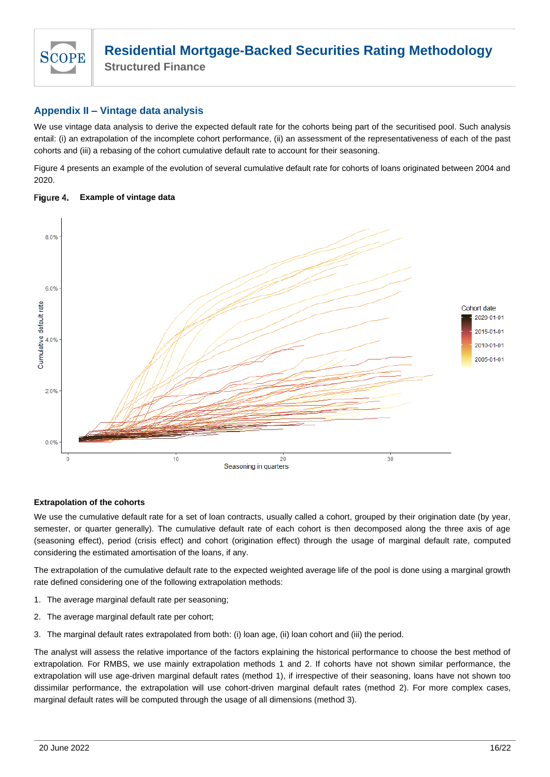

**Structured Finance**

### <span id="page-15-0"></span>**Appendix II – Vintage data analysis**

We use vintage data analysis to derive the expected default rate for the cohorts being part of the securitised pool. Such analysis entail: (i) an extrapolation of the incomplete cohort performance, (ii) an assessment of the representativeness of each of the past cohorts and (iii) a rebasing of the cohort cumulative default rate to account for their seasoning.

Figure 4 presents an example of the evolution of several cumulative default rate for cohorts of loans originated between 2004 and 2020.

#### Figure 4. **Example of vintage data**



### **Extrapolation of the cohorts**

We use the cumulative default rate for a set of loan contracts, usually called a cohort, grouped by their origination date (by year, semester, or quarter generally). The cumulative default rate of each cohort is then decomposed along the three axis of age (seasoning effect), period (crisis effect) and cohort (origination effect) through the usage of marginal default rate, computed considering the estimated amortisation of the loans, if any.

The extrapolation of the cumulative default rate to the expected weighted average life of the pool is done using a marginal growth rate defined considering one of the following extrapolation methods:

- 1. The average marginal default rate per seasoning;
- 2. The average marginal default rate per cohort;
- 3. The marginal default rates extrapolated from both: (i) loan age, (ii) loan cohort and (iii) the period.

The analyst will assess the relative importance of the factors explaining the historical performance to choose the best method of extrapolation. For RMBS, we use mainly extrapolation methods 1 and 2. If cohorts have not shown similar performance, the extrapolation will use age-driven marginal default rates (method 1), if irrespective of their seasoning, loans have not shown too dissimilar performance, the extrapolation will use cohort-driven marginal default rates (method 2). For more complex cases, marginal default rates will be computed through the usage of all dimensions (method 3).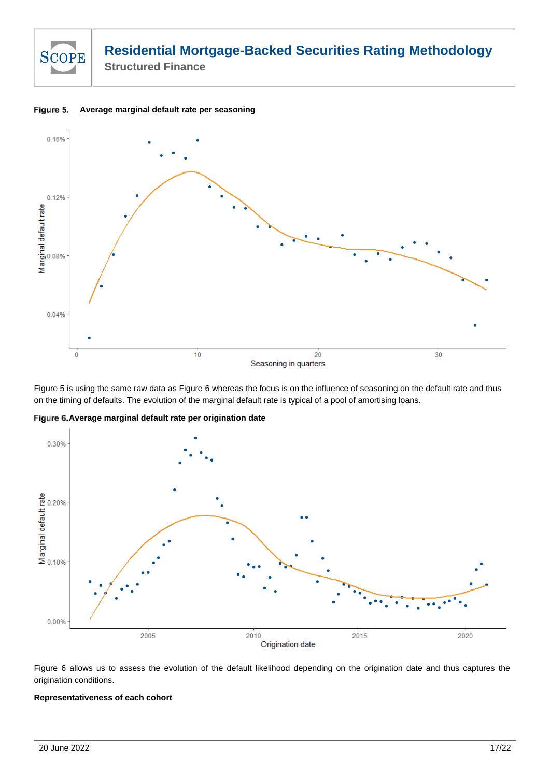

**Average marginal default rate per seasoning** Figure 5.



Figure 5 is using the same raw data as Figure 6 whereas the focus is on the influence of seasoning on the default rate and thus on the timing of defaults. The evolution of the marginal default rate is typical of a pool of amortising loans.

**Average marginal default rate per origination date**



Figure 6 allows us to assess the evolution of the default likelihood depending on the origination date and thus captures the origination conditions.

### **Representativeness of each cohort**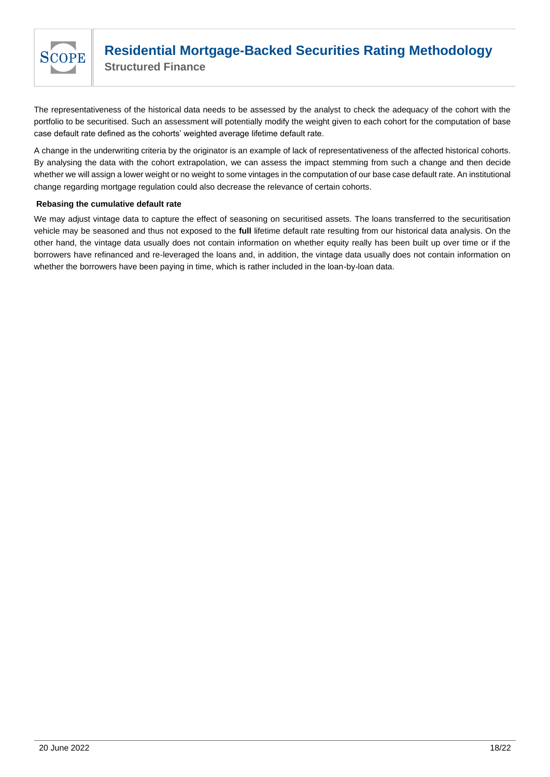

The representativeness of the historical data needs to be assessed by the analyst to check the adequacy of the cohort with the portfolio to be securitised. Such an assessment will potentially modify the weight given to each cohort for the computation of base case default rate defined as the cohorts' weighted average lifetime default rate.

A change in the underwriting criteria by the originator is an example of lack of representativeness of the affected historical cohorts. By analysing the data with the cohort extrapolation, we can assess the impact stemming from such a change and then decide whether we will assign a lower weight or no weight to some vintages in the computation of our base case default rate. An institutional change regarding mortgage regulation could also decrease the relevance of certain cohorts.

### **Rebasing the cumulative default rate**

We may adjust vintage data to capture the effect of seasoning on securitised assets. The loans transferred to the securitisation vehicle may be seasoned and thus not exposed to the **full** lifetime default rate resulting from our historical data analysis. On the other hand, the vintage data usually does not contain information on whether equity really has been built up over time or if the borrowers have refinanced and re-leveraged the loans and, in addition, the vintage data usually does not contain information on whether the borrowers have been paying in time, which is rather included in the loan-by-loan data.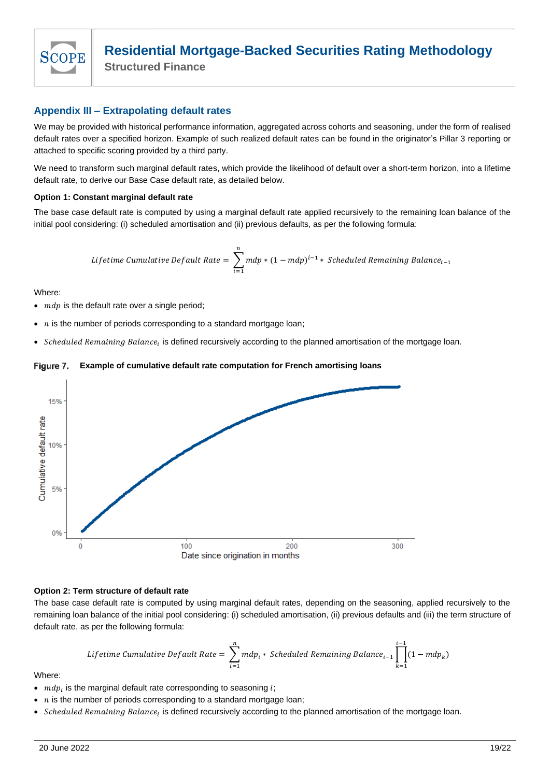

**Structured Finance**

### <span id="page-18-0"></span>**Appendix III – Extrapolating default rates**

We may be provided with historical performance information, aggregated across cohorts and seasoning, under the form of realised default rates over a specified horizon. Example of such realized default rates can be found in the originator's Pillar 3 reporting or attached to specific scoring provided by a third party.

We need to transform such marginal default rates, which provide the likelihood of default over a short-term horizon, into a lifetime default rate, to derive our Base Case default rate, as detailed below.

### **Option 1: Constant marginal default rate**

The base case default rate is computed by using a marginal default rate applied recursively to the remaining loan balance of the initial pool considering: (i) scheduled amortisation and (ii) previous defaults, as per the following formula:

*Lifetime Cumulative Default Rate* = 
$$
\sum_{i=1}^{n} mdp * (1 - mdp)^{i-1} * Scheduled Remaining Balance_{i-1}
$$

Where:

- $\bullet$   $mdp$  is the default rate over a single period;
- $n$  is the number of periods corresponding to a standard mortgage loan;
- Scheduled Remaining Balance<sub>i</sub> is defined recursively according to the planned amortisation of the mortgage loan.

#### Figure 7. **Example of cumulative default rate computation for French amortising loans**



### **Option 2: Term structure of default rate**

The base case default rate is computed by using marginal default rates, depending on the seasoning, applied recursively to the remaining loan balance of the initial pool considering: (i) scheduled amortisation, (ii) previous defaults and (iii) the term structure of default rate, as per the following formula:

$$
\textit{Lifetime Cumulative Default Rate} = \sum_{i=1}^{n} m d p_i * \textit{Scheduled Remaining Balance}_{i-1} \prod_{k=1}^{i-1} (1 - m d p_k)
$$

Where:

- $mdp_i$  is the marginal default rate corresponding to seasoning  $i$ ;
- $n$  is the number of periods corresponding to a standard mortgage loan;
- Scheduled Remaining Balance<sub>i</sub> is defined recursively according to the planned amortisation of the mortgage loan.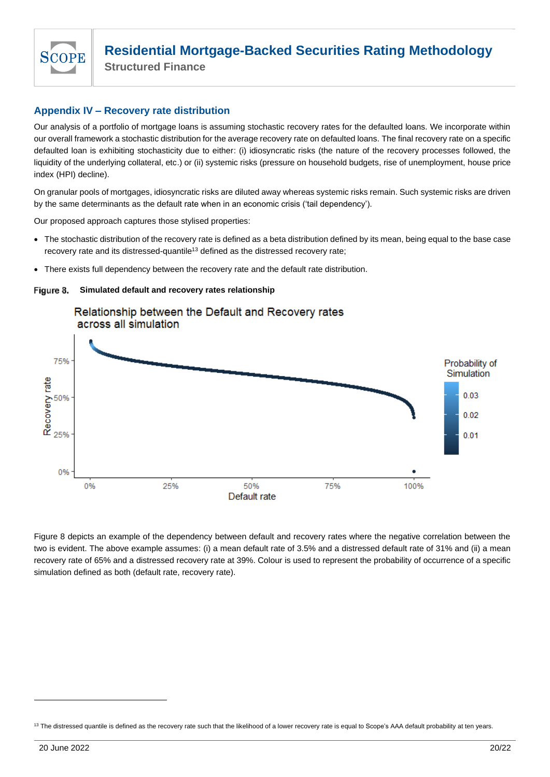

**Structured Finance**

### <span id="page-19-0"></span>**Appendix IV – Recovery rate distribution**

Our analysis of a portfolio of mortgage loans is assuming stochastic recovery rates for the defaulted loans. We incorporate within our overall framework a stochastic distribution for the average recovery rate on defaulted loans. The final recovery rate on a specific defaulted loan is exhibiting stochasticity due to either: (i) idiosyncratic risks (the nature of the recovery processes followed, the liquidity of the underlying collateral, etc.) or (ii) systemic risks (pressure on household budgets, rise of unemployment, house price index (HPI) decline).

On granular pools of mortgages, idiosyncratic risks are diluted away whereas systemic risks remain. Such systemic risks are driven by the same determinants as the default rate when in an economic crisis ('tail dependency').

Our proposed approach captures those stylised properties:

- The stochastic distribution of the recovery rate is defined as a beta distribution defined by its mean, being equal to the base case recovery rate and its distressed-quantile<sup>13</sup> defined as the distressed recovery rate;
- There exists full dependency between the recovery rate and the default rate distribution.

**Simulated default and recovery rates relationship** Figure 8.



Figure 8 depicts an example of the dependency between default and recovery rates where the negative correlation between the two is evident. The above example assumes: (i) a mean default rate of 3.5% and a distressed default rate of 31% and (ii) a mean recovery rate of 65% and a distressed recovery rate at 39%. Colour is used to represent the probability of occurrence of a specific simulation defined as both (default rate, recovery rate).

<sup>&</sup>lt;sup>13</sup> The distressed quantile is defined as the recovery rate such that the likelihood of a lower recovery rate is equal to Scope's AAA default probability at ten years.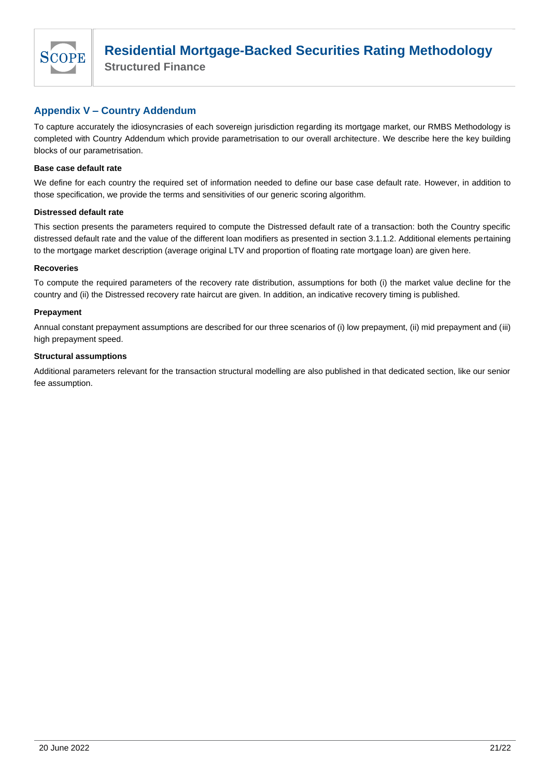

**Structured Finance**

### <span id="page-20-0"></span>**Appendix V – Country Addendum**

To capture accurately the idiosyncrasies of each sovereign jurisdiction regarding its mortgage market, our RMBS Methodology is completed with Country Addendum which provide parametrisation to our overall architecture. We describe here the key building blocks of our parametrisation.

### **Base case default rate**

We define for each country the required set of information needed to define our base case default rate. However, in addition to those specification, we provide the terms and sensitivities of our generic scoring algorithm.

### **Distressed default rate**

This section presents the parameters required to compute the Distressed default rate of a transaction: both the Country specific distressed default rate and the value of the different loan modifiers as presented in section 3.1.1.2. Additional elements pertaining to the mortgage market description (average original LTV and proportion of floating rate mortgage loan) are given here.

### **Recoveries**

To compute the required parameters of the recovery rate distribution, assumptions for both (i) the market value decline for the country and (ii) the Distressed recovery rate haircut are given. In addition, an indicative recovery timing is published.

### **Prepayment**

Annual constant prepayment assumptions are described for our three scenarios of (i) low prepayment, (ii) mid prepayment and (iii) high prepayment speed.

### **Structural assumptions**

Additional parameters relevant for the transaction structural modelling are also published in that dedicated section, like our senior fee assumption.